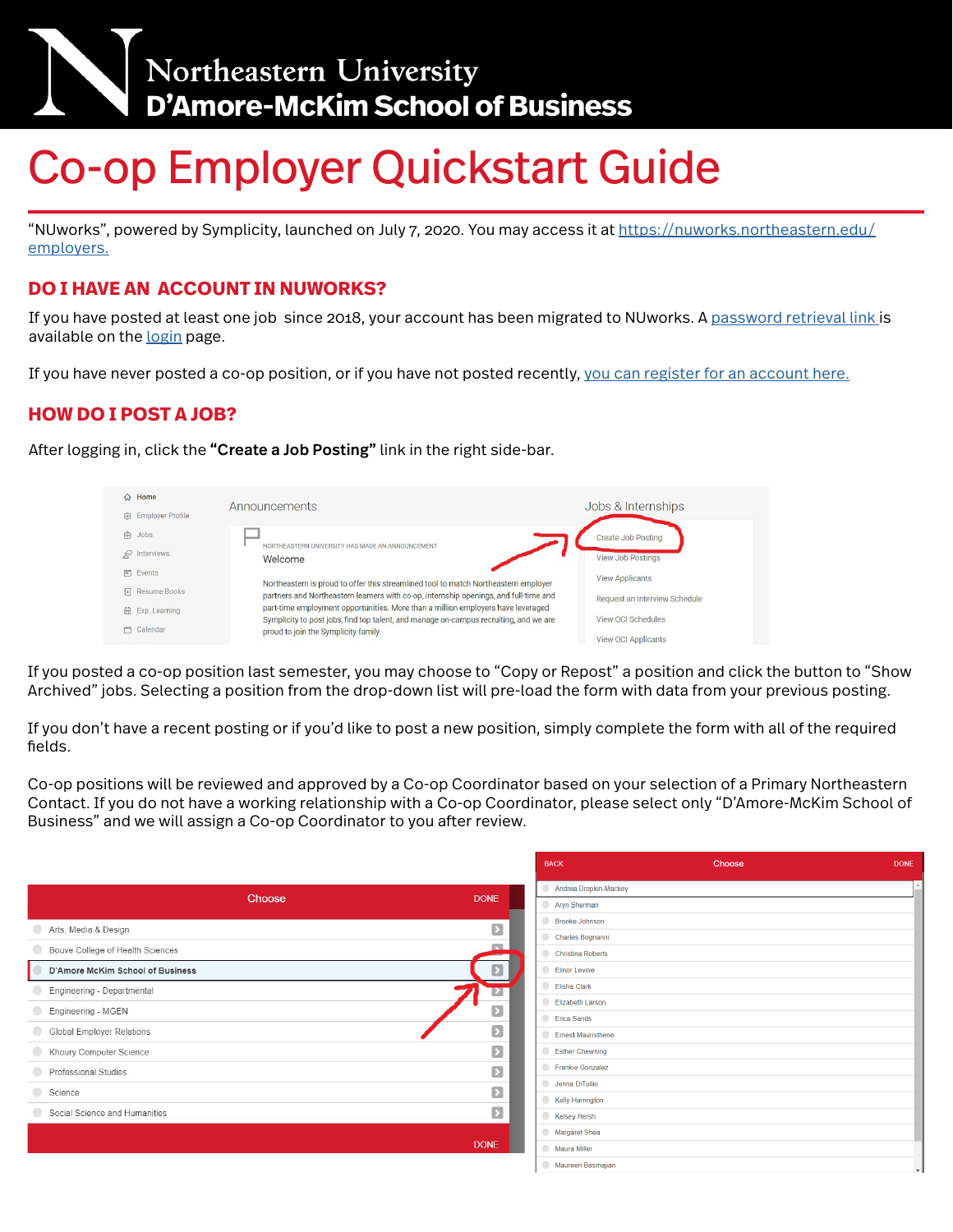

# Co-op Employer Quickstart Guide

"NUworks", powered by Symplicity, launched on July 7, 2020. You may access it at [https://nuworks.northeastern.edu/](https://nuworks.northeastern.edu/employers) [employers.](https://nuworks.northeastern.edu/employers)

## **DO I HAVE AN ACCOUNT IN NUWORKS?**

If you have posted at least one job since 2018, your account has been migrated to NUworks. A [password retrieval link](https://northeastern-csm.symplicity.com/employers/index.php?signin_tab=0&js_disabled=0#) is available on the [login](https://northeastern-csm.symplicity.com/employers/) page.

If you have never posted a co-op position, or if you have not posted recently, [you can register for an account here.](https://northeastern-csm.symplicity.com/employers/)

### **HOW DO I POST A JOB?**

After logging in, click the "Create a Job Posting" link in the right side-bar.



If you posted a co-op position last semester, you may choose to "Copy or Repost" a position and click the button to "Show Archived" jobs. Selecting a position from the drop-down list will pre-load the form with data from your previous posting.

If you don't have a recent posting or if you'd like to post a new position, simply complete the form with all of the required fields.

Co-op positions will be reviewed and approved by a Co-op Coordinator based on your selection of a Primary Northeastern Contact. If you do not have a working relationship with a Co-op Coordinator, please select only "D'Amore-McKim School of Business" and we will assign a Co-op Coordinator to you after review.

|                                  | <b>BACK</b>  |                         | Choose |  |
|----------------------------------|--------------|-------------------------|--------|--|
|                                  |              | Andrea Dropkin-Mackey   |        |  |
| Choose                           | <b>DONE</b>  | Aryn Sherman            |        |  |
| Arts, Media & Design             | Ø            | Brooke Johnson          |        |  |
| Bouve College of Health Sciences | $\sim$       | Charles Bognanni        |        |  |
|                                  |              | Christina Roberts       |        |  |
| D'Amore McKim School of Business | Σ            | Elinor Levine           |        |  |
| Engineering - Departmental       |              | <b>Elisha Clark</b>     |        |  |
| Engineering - MGEN               | Ω            | <b>Elizabeth Larson</b> |        |  |
|                                  |              | <b>Erica Sands</b>      |        |  |
| Global Employer Relations        | Σ            | Ernest Mauristhene      |        |  |
| Khoury Computer Science          | Ø            | Esther Chewning         |        |  |
| Professional Studies             | Ø            | Frankie Gonzalez        |        |  |
| Science                          | Ð            | Jenna DiTullio          |        |  |
|                                  |              | Kelly Harrington        |        |  |
| Social Science and Humanities    | $\mathbf{E}$ | Kelsey Hersh            |        |  |
|                                  |              | Margaret Shea           |        |  |
|                                  | <b>DONE</b>  | Maura Miller            |        |  |
|                                  |              | Maureen Basmajian       |        |  |